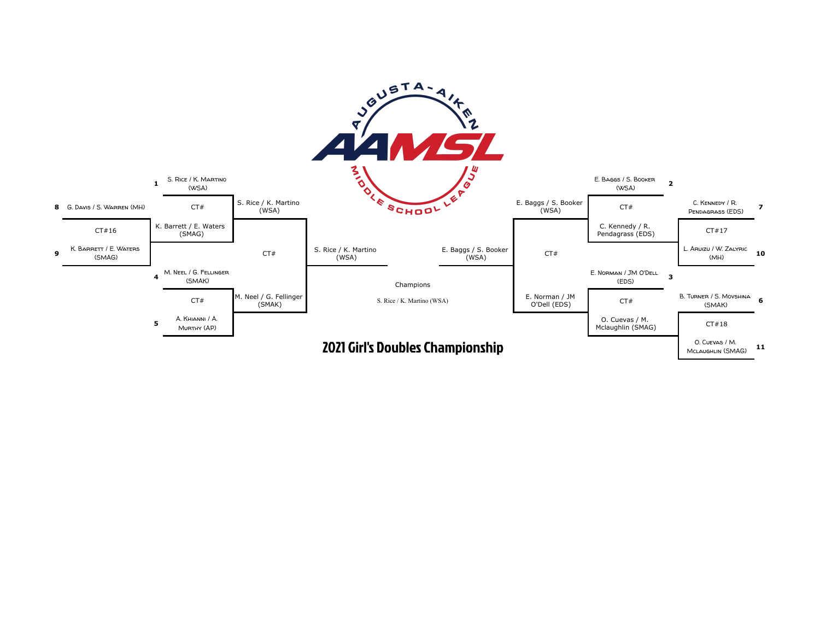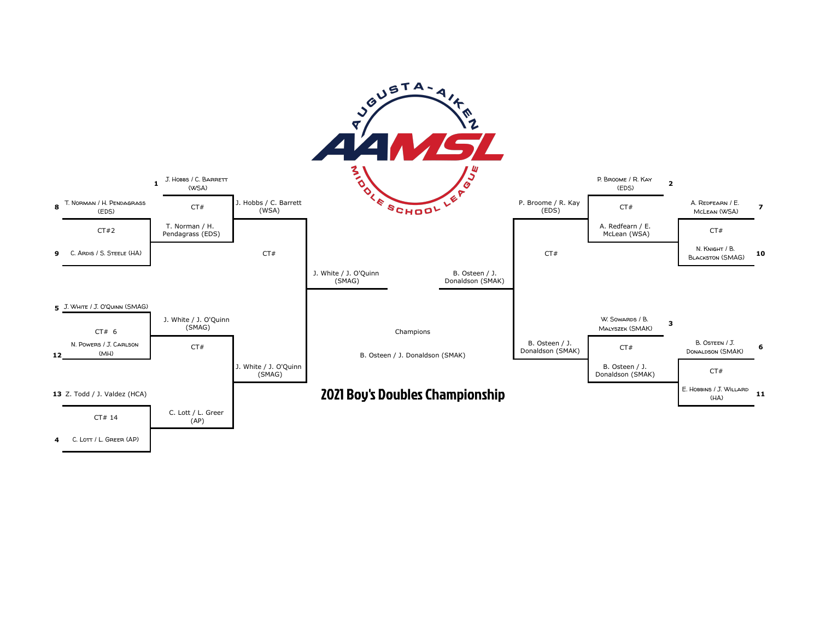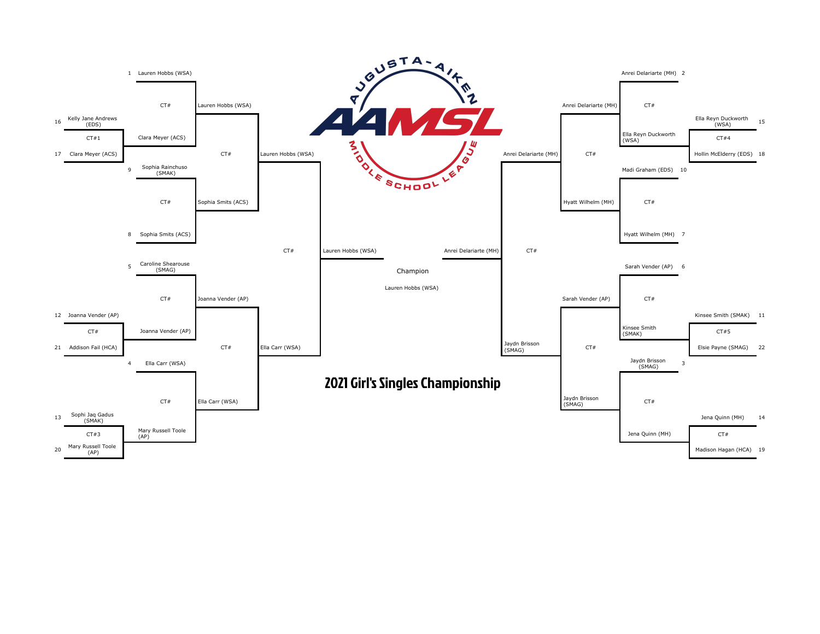